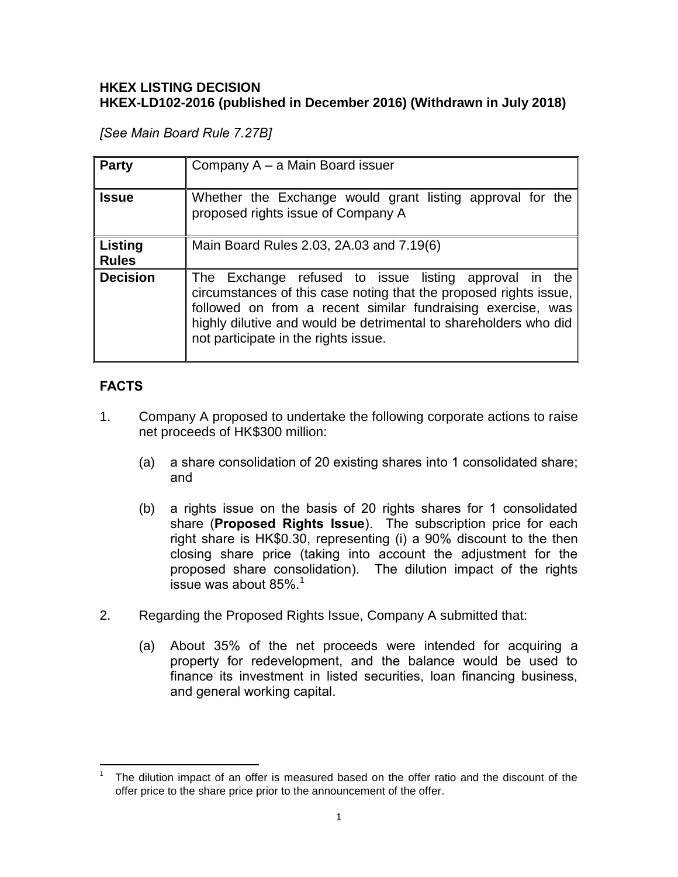## **HKEX LISTING DECISION HKEX-LD102-2016 (published in December 2016) (Withdrawn in July 2018)**

*[See Main Board Rule 7.27B]*

| <b>Party</b>                   | Company A - a Main Board issuer                                                                                                                                                                                                                                                                       |
|--------------------------------|-------------------------------------------------------------------------------------------------------------------------------------------------------------------------------------------------------------------------------------------------------------------------------------------------------|
| <b>Issue</b>                   | Whether the Exchange would grant listing approval for the<br>proposed rights issue of Company A                                                                                                                                                                                                       |
| <b>Listing</b><br><b>Rules</b> | Main Board Rules 2.03, 2A.03 and 7.19(6)                                                                                                                                                                                                                                                              |
| <b>Decision</b>                | The Exchange refused to issue listing approval in the<br>circumstances of this case noting that the proposed rights issue,<br>followed on from a recent similar fundraising exercise, was<br>highly dilutive and would be detrimental to shareholders who did<br>not participate in the rights issue. |

# **FACTS**

- 1. Company A proposed to undertake the following corporate actions to raise net proceeds of HK\$300 million:
	- (a) a share consolidation of 20 existing shares into 1 consolidated share; and
	- (b) a rights issue on the basis of 20 rights shares for 1 consolidated share (**Proposed Rights Issue**). The subscription price for each right share is HK\$0.30, representing (i) a 90% discount to the then closing share price (taking into account the adjustment for the proposed share consolidation). The dilution impact of the rights issue was about  $85\%$ <sup>1</sup>
- 2. Regarding the Proposed Rights Issue, Company A submitted that:
	- (a) About 35% of the net proceeds were intended for acquiring a property for redevelopment, and the balance would be used to finance its investment in listed securities, loan financing business, and general working capital.

 $\frac{1}{1}$ The dilution impact of an offer is measured based on the offer ratio and the discount of the offer price to the share price prior to the announcement of the offer.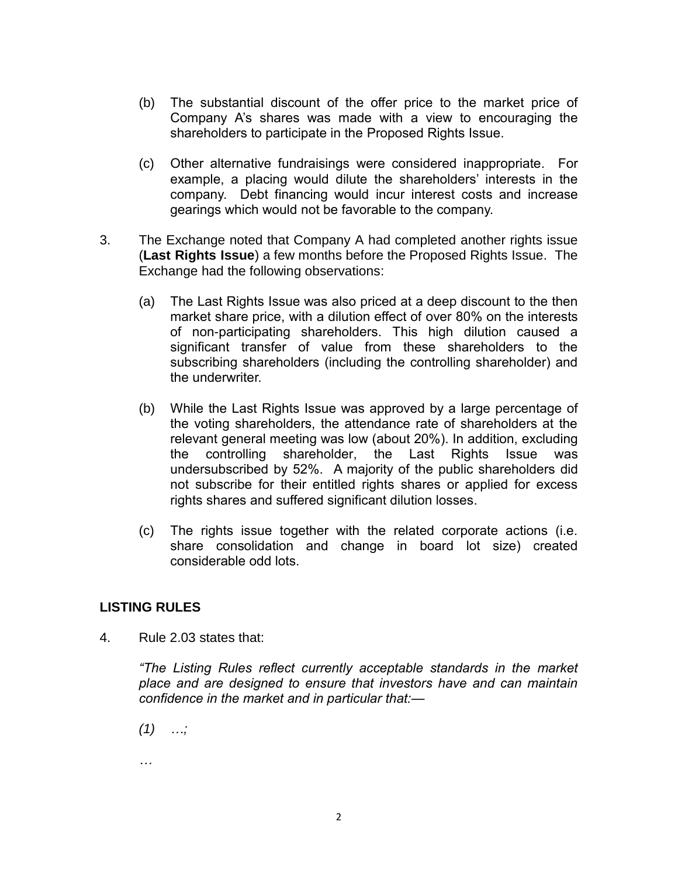- (b) The substantial discount of the offer price to the market price of Company A's shares was made with a view to encouraging the shareholders to participate in the Proposed Rights Issue.
- (c) Other alternative fundraisings were considered inappropriate. For example, a placing would dilute the shareholders' interests in the company. Debt financing would incur interest costs and increase gearings which would not be favorable to the company.
- 3. The Exchange noted that Company A had completed another rights issue (**Last Rights Issue**) a few months before the Proposed Rights Issue. The Exchange had the following observations:
	- (a) The Last Rights Issue was also priced at a deep discount to the then market share price, with a dilution effect of over 80% on the interests of non-participating shareholders. This high dilution caused a significant transfer of value from these shareholders to the subscribing shareholders (including the controlling shareholder) and the underwriter.
	- (b) While the Last Rights Issue was approved by a large percentage of the voting shareholders, the attendance rate of shareholders at the relevant general meeting was low (about 20%). In addition, excluding the controlling shareholder, the Last Rights Issue was undersubscribed by 52%. A majority of the public shareholders did not subscribe for their entitled rights shares or applied for excess rights shares and suffered significant dilution losses.
	- (c) The rights issue together with the related corporate actions (i.e. share consolidation and change in board lot size) created considerable odd lots.

#### **LISTING RULES**

4. Rule 2.03 states that:

*"The Listing Rules reflect currently acceptable standards in the market place and are designed to ensure that investors have and can maintain confidence in the market and in particular that:—*

- *(1) …;*
- *…*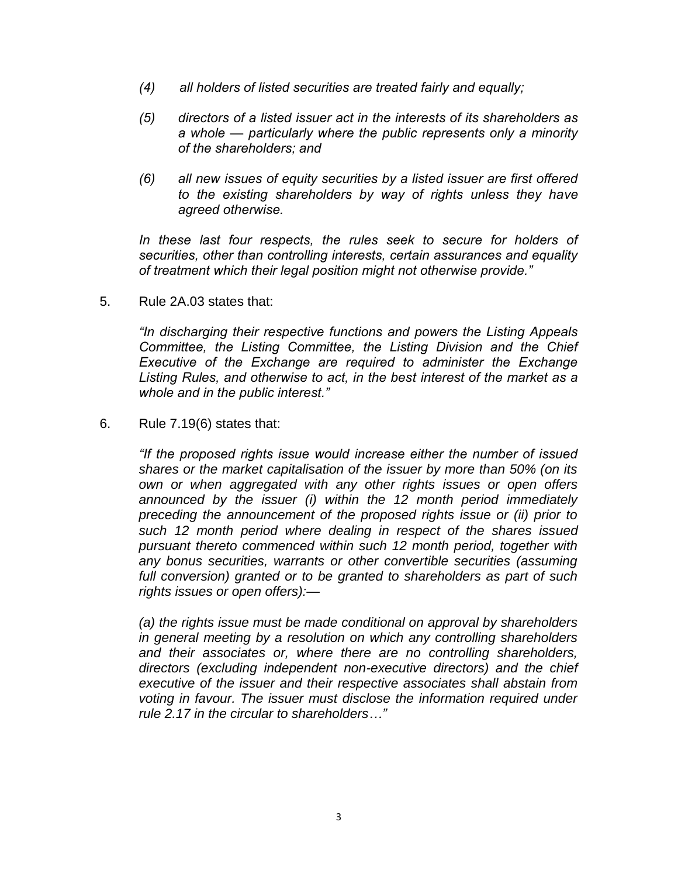- *(4) all holders of listed securities are treated fairly and equally;*
- *(5) directors of a listed issuer act in the interests of its shareholders as a whole — particularly where the public represents only a minority of the shareholders; and*
- *(6) all new issues of equity securities by a listed issuer are first offered to the existing shareholders by way of rights unless they have agreed otherwise.*

*In these last four respects, the rules seek to secure for holders of securities, other than controlling interests, certain assurances and equality of treatment which their legal position might not otherwise provide."*

5. Rule 2A.03 states that:

*"In discharging their respective functions and powers the Listing Appeals Committee, the Listing Committee, the Listing Division and the Chief Executive of the Exchange are required to administer the Exchange Listing Rules, and otherwise to act, in the best interest of the market as a whole and in the public interest."* 

6. Rule 7.19(6) states that:

*"If the proposed rights issue would increase either the number of issued shares or the market capitalisation of the issuer by more than 50% (on its own or when aggregated with any other rights issues or open offers announced by the issuer (i) within the 12 month period immediately preceding the announcement of the proposed rights issue or (ii) prior to such 12 month period where dealing in respect of the shares issued pursuant thereto commenced within such 12 month period, together with any bonus securities, warrants or other convertible securities (assuming full conversion) granted or to be granted to shareholders as part of such rights issues or open offers):—*

*(a) the rights issue must be made conditional on approval by shareholders in general meeting by a resolution on which any controlling shareholders and their associates or, where there are no controlling shareholders, directors (excluding independent non-executive directors) and the chief executive of the issuer and their respective associates shall abstain from voting in favour. The issuer must disclose the information required under rule 2.17 in the circular to shareholders…"*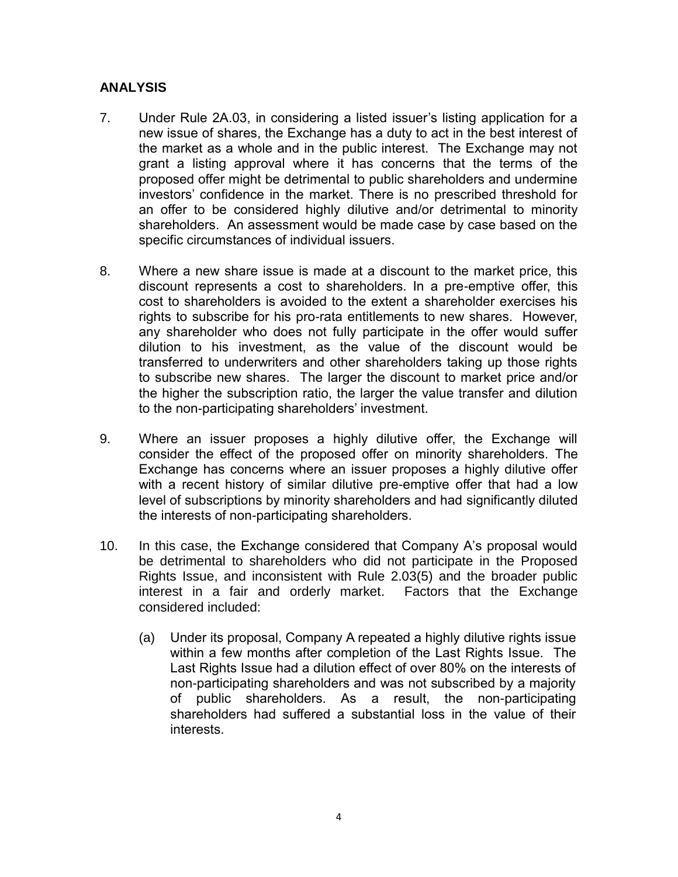## **ANALYSIS**

- 7. Under Rule 2A.03, in considering a listed issuer's listing application for a new issue of shares, the Exchange has a duty to act in the best interest of the market as a whole and in the public interest. The Exchange may not grant a listing approval where it has concerns that the terms of the proposed offer might be detrimental to public shareholders and undermine investors' confidence in the market. There is no prescribed threshold for an offer to be considered highly dilutive and/or detrimental to minority shareholders. An assessment would be made case by case based on the specific circumstances of individual issuers.
- 8. Where a new share issue is made at a discount to the market price, this discount represents a cost to shareholders. In a pre-emptive offer, this cost to shareholders is avoided to the extent a shareholder exercises his rights to subscribe for his pro-rata entitlements to new shares. However, any shareholder who does not fully participate in the offer would suffer dilution to his investment, as the value of the discount would be transferred to underwriters and other shareholders taking up those rights to subscribe new shares. The larger the discount to market price and/or the higher the subscription ratio, the larger the value transfer and dilution to the non-participating shareholders' investment.
- 9. Where an issuer proposes a highly dilutive offer, the Exchange will consider the effect of the proposed offer on minority shareholders. The Exchange has concerns where an issuer proposes a highly dilutive offer with a recent history of similar dilutive pre-emptive offer that had a low level of subscriptions by minority shareholders and had significantly diluted the interests of non-participating shareholders.
- 10. In this case, the Exchange considered that Company A's proposal would be detrimental to shareholders who did not participate in the Proposed Rights Issue, and inconsistent with Rule 2.03(5) and the broader public interest in a fair and orderly market. Factors that the Exchange considered included:
	- (a) Under its proposal, Company A repeated a highly dilutive rights issue within a few months after completion of the Last Rights Issue. The Last Rights Issue had a dilution effect of over 80% on the interests of non-participating shareholders and was not subscribed by a majority of public shareholders. As a result, the non-participating shareholders had suffered a substantial loss in the value of their interests.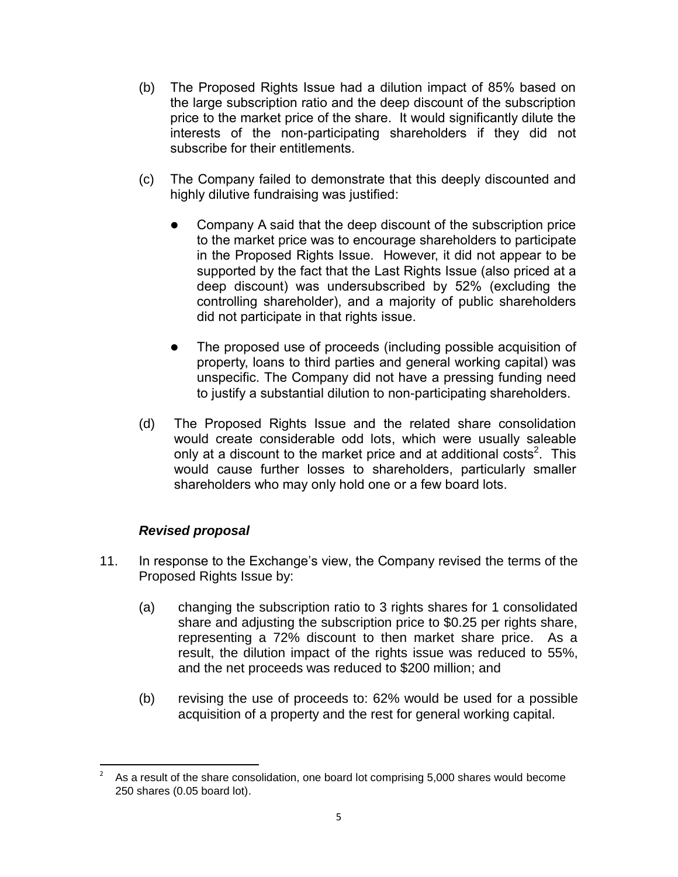- (b) The Proposed Rights Issue had a dilution impact of 85% based on the large subscription ratio and the deep discount of the subscription price to the market price of the share. It would significantly dilute the interests of the non-participating shareholders if they did not subscribe for their entitlements.
- (c) The Company failed to demonstrate that this deeply discounted and highly dilutive fundraising was justified:
	- Company A said that the deep discount of the subscription price to the market price was to encourage shareholders to participate in the Proposed Rights Issue. However, it did not appear to be supported by the fact that the Last Rights Issue (also priced at a deep discount) was undersubscribed by 52% (excluding the controlling shareholder), and a majority of public shareholders did not participate in that rights issue.
	- The proposed use of proceeds (including possible acquisition of property, loans to third parties and general working capital) was unspecific. The Company did not have a pressing funding need to justify a substantial dilution to non-participating shareholders.
- (d) The Proposed Rights Issue and the related share consolidation would create considerable odd lots, which were usually saleable only at a discount to the market price and at additional costs<sup>2</sup>. This would cause further losses to shareholders, particularly smaller shareholders who may only hold one or a few board lots.

## *Revised proposal*

- 11. In response to the Exchange's view, the Company revised the terms of the Proposed Rights Issue by:
	- (a) changing the subscription ratio to 3 rights shares for 1 consolidated share and adjusting the subscription price to \$0.25 per rights share, representing a 72% discount to then market share price. As a result, the dilution impact of the rights issue was reduced to 55%, and the net proceeds was reduced to \$200 million; and
	- (b) revising the use of proceeds to: 62% would be used for a possible acquisition of a property and the rest for general working capital.

 $\frac{1}{2}$ As a result of the share consolidation, one board lot comprising 5,000 shares would become 250 shares (0.05 board lot).